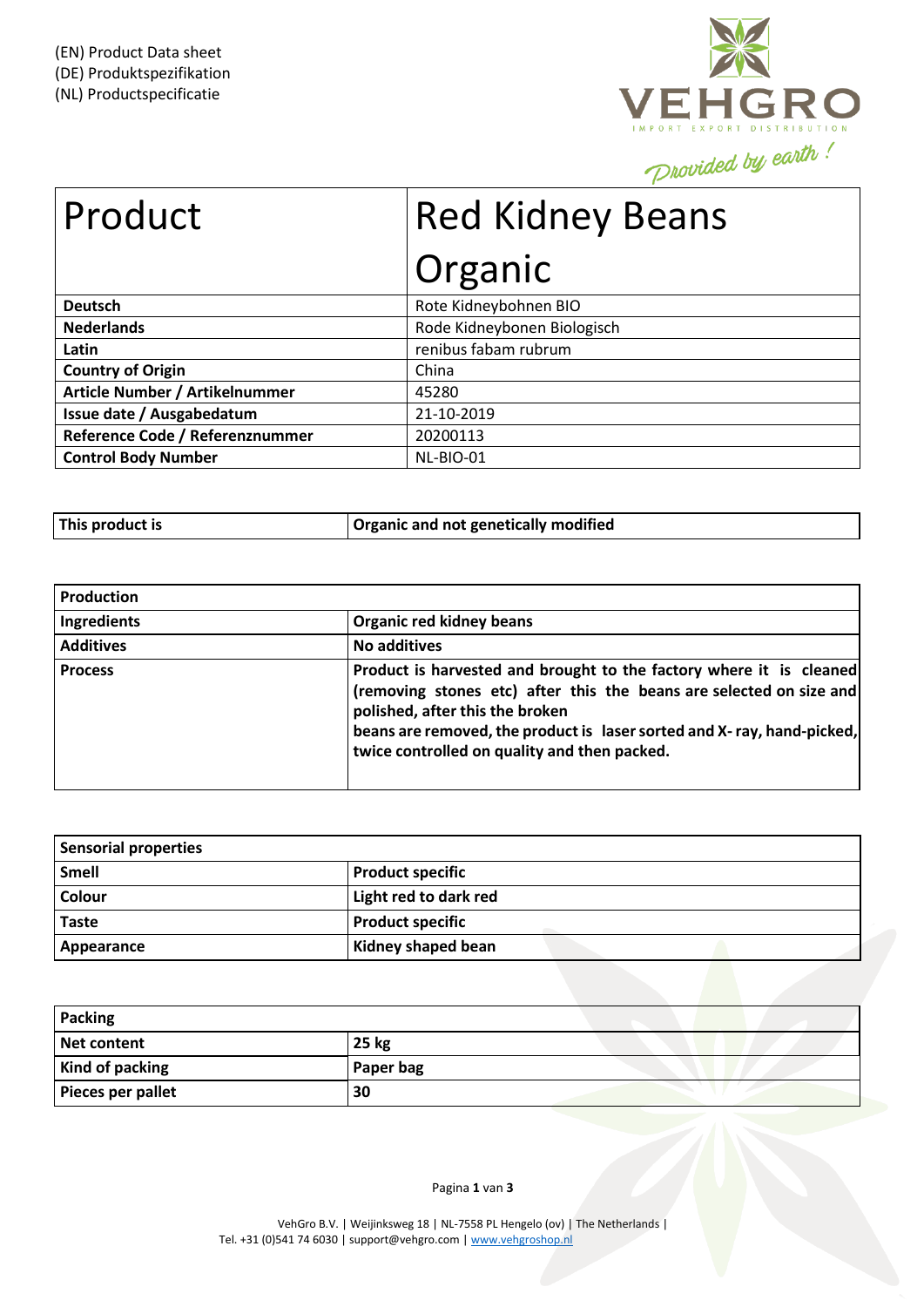

| Product                         | <b>Red Kidney Beans</b>     |  |
|---------------------------------|-----------------------------|--|
|                                 | Organic                     |  |
| <b>Deutsch</b>                  | Rote Kidneybohnen BIO       |  |
| <b>Nederlands</b>               | Rode Kidneybonen Biologisch |  |
| Latin                           | renibus fabam rubrum        |  |
| <b>Country of Origin</b>        | China                       |  |
| Article Number / Artikelnummer  | 45280                       |  |
| Issue date / Ausgabedatum       | 21-10-2019                  |  |
| Reference Code / Referenznummer | 20200113                    |  |
| <b>Control Body Number</b>      | NL-BIO-01                   |  |

| This product is | Organic and not genetically modified |
|-----------------|--------------------------------------|
|                 |                                      |

| Production       |                                                                                                                                                                                                                                                                                                         |
|------------------|---------------------------------------------------------------------------------------------------------------------------------------------------------------------------------------------------------------------------------------------------------------------------------------------------------|
| Ingredients      | <b>Organic red kidney beans</b>                                                                                                                                                                                                                                                                         |
| <b>Additives</b> | <b>No additives</b>                                                                                                                                                                                                                                                                                     |
| <b>Process</b>   | Product is harvested and brought to the factory where it is cleaned<br>(removing stones etc) after this the beans are selected on size and<br>polished, after this the broken<br>beans are removed, the product is laser sorted and X-ray, hand-picked,<br>twice controlled on quality and then packed. |

| <b>Sensorial properties</b> |                         |
|-----------------------------|-------------------------|
| <b>Smell</b>                | <b>Product specific</b> |
| Colour                      | Light red to dark red   |
| <b>Taste</b>                | <b>Product specific</b> |
| Appearance                  | Kidney shaped bean      |

| <b>Packing</b>         |           |
|------------------------|-----------|
| Net content            | 25 kg     |
| <b>Kind of packing</b> | Paper bag |
| Pieces per pallet      | 30        |

Pagina **1** van **3**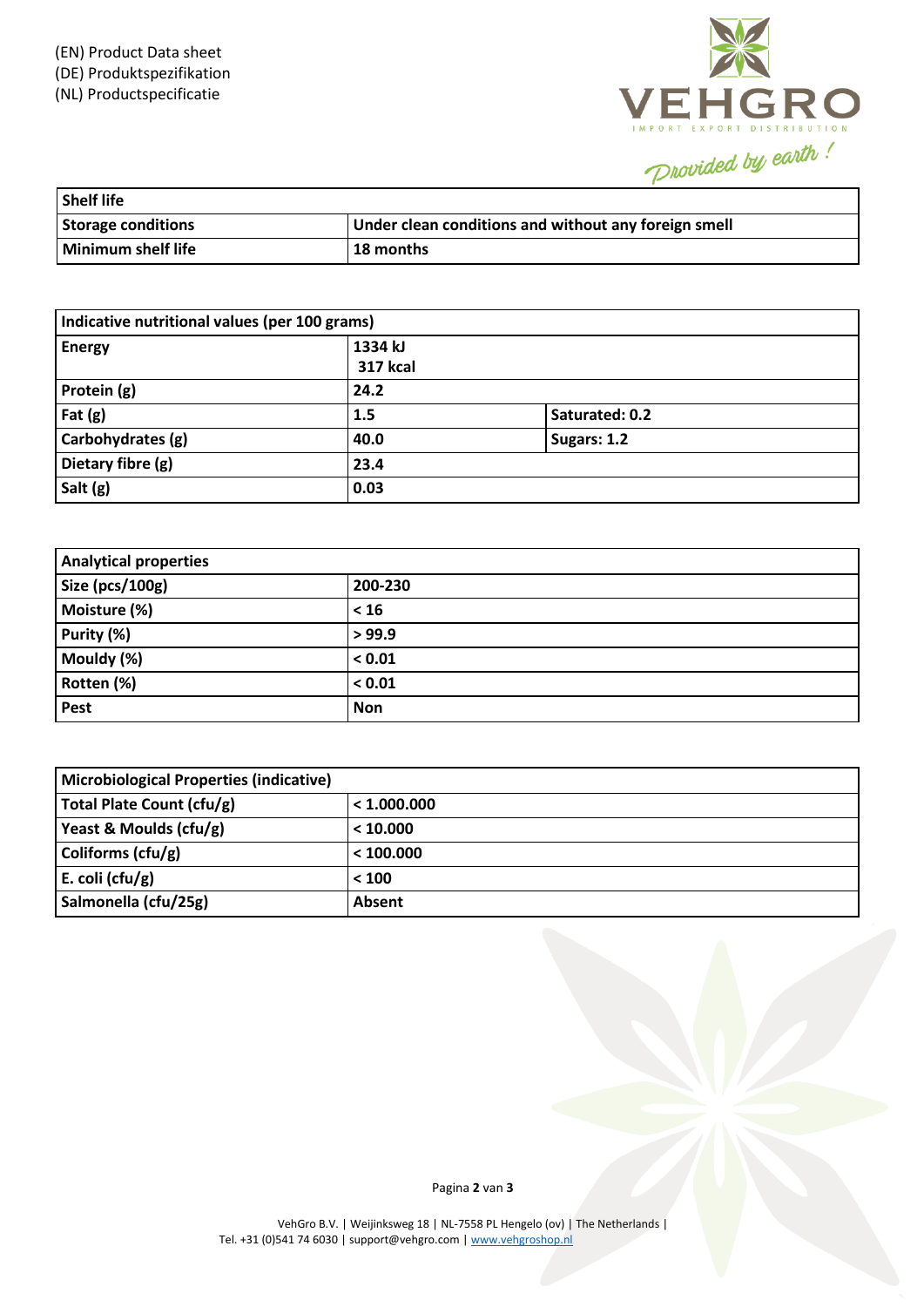

| Shelf life                |                                                      |
|---------------------------|------------------------------------------------------|
| <b>Storage conditions</b> | Under clean conditions and without any foreign smell |
| Minimum shelf life        | <b>18 months</b>                                     |

| Indicative nutritional values (per 100 grams) |                            |                |  |
|-----------------------------------------------|----------------------------|----------------|--|
| <b>Energy</b>                                 | 1334 kJ<br><b>317 kcal</b> |                |  |
| Protein (g)                                   | 24.2                       |                |  |
| Fat $(g)$                                     | 1.5                        | Saturated: 0.2 |  |
| Carbohydrates (g)                             | 40.0                       | Sugars: 1.2    |  |
| Dietary fibre (g)                             | 23.4                       |                |  |
| Salt (g)                                      | 0.03                       |                |  |

| <b>Analytical properties</b> |            |  |
|------------------------------|------------|--|
| Size (pcs/100g)              | 200-230    |  |
| Moisture (%)                 | < 16       |  |
| Purity (%)                   | > 99.9     |  |
| Mouldy (%)                   | < 0.01     |  |
| Rotten (%)                   | < 0.01     |  |
| Pest                         | <b>Non</b> |  |

| <b>Microbiological Properties (indicative)</b> |             |  |
|------------------------------------------------|-------------|--|
| Total Plate Count (cfu/g)                      | < 1.000.000 |  |
| Yeast & Moulds (cfu/g)                         | < 10.000    |  |
| Coliforms (cfu/g)                              | < 100.000   |  |
| E. coli (cfu/g)                                | < 100       |  |
| Salmonella (cfu/25g)                           | Absent      |  |

Pagina **2** van **3**